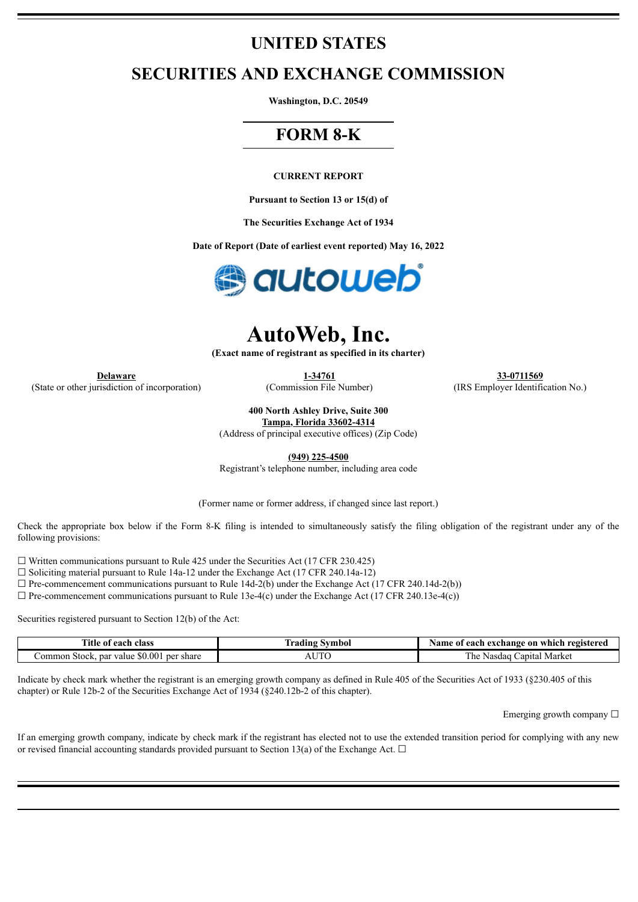# **UNITED STATES**

# **SECURITIES AND EXCHANGE COMMISSION**

**Washington, D.C. 20549**

# **FORM 8-K**

#### **CURRENT REPORT**

**Pursuant to Section 13 or 15(d) of**

**The Securities Exchange Act of 1934**

**Date of Report (Date of earliest event reported) May 16, 2022**



# **AutoWeb, Inc.**

**(Exact name of registrant as specified in its charter)**

(State or other jurisdiction of incorporation) (Commission File Number) (IRS Employer Identification No.)

**Delaware 1-34761 33-0711569**

**400 North Ashley Drive, Suite 300**

**Tampa, Florida 33602-4314** (Address of principal executive offices) (Zip Code)

**(949) 225-4500**

Registrant's telephone number, including area code

(Former name or former address, if changed since last report.)

Check the appropriate box below if the Form 8-K filing is intended to simultaneously satisfy the filing obligation of the registrant under any of the following provisions:

 $\Box$  Written communications pursuant to Rule 425 under the Securities Act (17 CFR 230.425)

☐ Soliciting material pursuant to Rule 14a-12 under the Exchange Act (17 CFR 240.14a-12)

 $\Box$  Pre-commencement communications pursuant to Rule 14d-2(b) under the Exchange Act (17 CFR 240.14d-2(b))

 $\Box$  Pre-commencement communications pursuant to Rule 13e-4(c) under the Exchange Act (17 CFR 240.13e-4(c))

Securities registered pursuant to Section 12(b) of the Act:

| Title of<br>class<br>each                         | Symbol<br>tradıng | e of each exchange on which registered<br>Aame. |
|---------------------------------------------------|-------------------|-------------------------------------------------|
| par value \$0.001<br>per share<br>ommon<br>Stock. | ТC                | Market<br>anital<br>l he<br>Nasdad              |

Indicate by check mark whether the registrant is an emerging growth company as defined in Rule 405 of the Securities Act of 1933 (§230.405 of this chapter) or Rule 12b-2 of the Securities Exchange Act of 1934 (§240.12b-2 of this chapter).

Emerging growth company  $\Box$ 

If an emerging growth company, indicate by check mark if the registrant has elected not to use the extended transition period for complying with any new or revised financial accounting standards provided pursuant to Section 13(a) of the Exchange Act.  $\Box$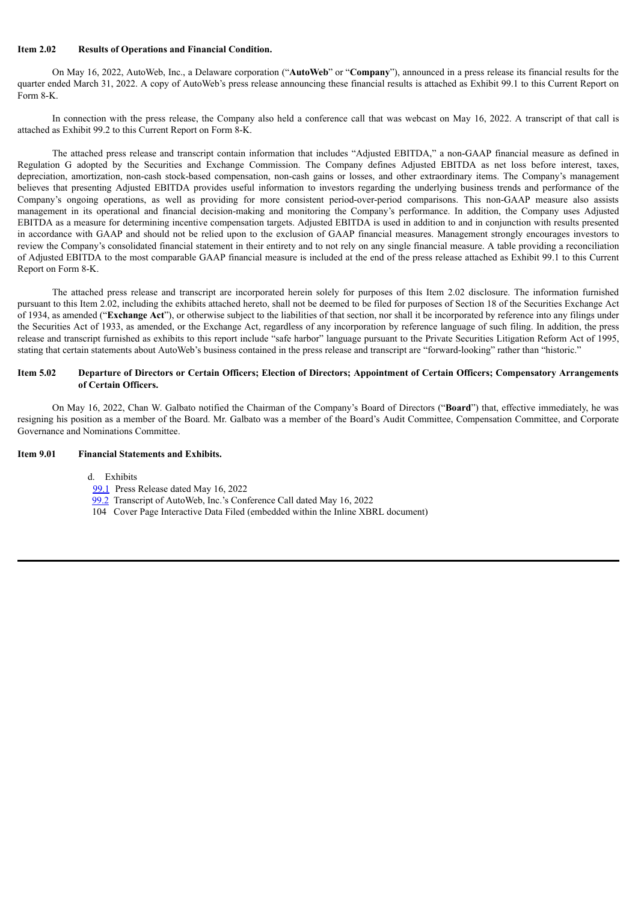#### **Item 2.02 Results of Operations and Financial Condition.**

On May 16, 2022, AutoWeb, Inc., a Delaware corporation ("**AutoWeb**" or "**Company**"), announced in a press release its financial results for the quarter ended March 31, 2022. A copy of AutoWeb's press release announcing these financial results is attached as Exhibit 99.1 to this Current Report on Form 8-K.

In connection with the press release, the Company also held a conference call that was webcast on May 16, 2022. A transcript of that call is attached as Exhibit 99.2 to this Current Report on Form 8-K.

The attached press release and transcript contain information that includes "Adjusted EBITDA," a non-GAAP financial measure as defined in Regulation G adopted by the Securities and Exchange Commission. The Company defines Adjusted EBITDA as net loss before interest, taxes, depreciation, amortization, non-cash stock-based compensation, non-cash gains or losses, and other extraordinary items. The Company's management believes that presenting Adjusted EBITDA provides useful information to investors regarding the underlying business trends and performance of the Company's ongoing operations, as well as providing for more consistent period-over-period comparisons. This non-GAAP measure also assists management in its operational and financial decision-making and monitoring the Company's performance. In addition, the Company uses Adjusted EBITDA as a measure for determining incentive compensation targets. Adjusted EBITDA is used in addition to and in conjunction with results presented in accordance with GAAP and should not be relied upon to the exclusion of GAAP financial measures. Management strongly encourages investors to review the Company's consolidated financial statement in their entirety and to not rely on any single financial measure. A table providing a reconciliation of Adjusted EBITDA to the most comparable GAAP financial measure is included at the end of the press release attached as Exhibit 99.1 to this Current Report on Form 8-K.

The attached press release and transcript are incorporated herein solely for purposes of this Item 2.02 disclosure. The information furnished pursuant to this Item 2.02, including the exhibits attached hereto, shall not be deemed to be filed for purposes of Section 18 of the Securities Exchange Act of 1934, as amended ("**Exchange Act**"), or otherwise subject to the liabilities of that section, nor shall it be incorporated by reference into any filings under the Securities Act of 1933, as amended, or the Exchange Act, regardless of any incorporation by reference language of such filing. In addition, the press release and transcript furnished as exhibits to this report include "safe harbor" language pursuant to the Private Securities Litigation Reform Act of 1995, stating that certain statements about AutoWeb's business contained in the press release and transcript are "forward-looking" rather than "historic."

#### Item 5.02 Departure of Directors or Certain Officers; Election of Directors; Appointment of Certain Officers; Compensatory Arrangements **of Certain Officers.**

On May 16, 2022, Chan W. Galbato notified the Chairman of the Company's Board of Directors ("**Board**") that, effective immediately, he was resigning his position as a member of the Board. Mr. Galbato was a member of the Board's Audit Committee, Compensation Committee, and Corporate Governance and Nominations Committee.

## **Item 9.01 Financial Statements and Exhibits.**

d. Exhibits

- [99.1](#page-3-0) Press Release dated May 16, 2022
- [99.2](#page-12-0) Transcript of AutoWeb, Inc.'s Conference Call dated May 16, 2022
- 104 Cover Page Interactive Data Filed (embedded within the Inline XBRL document)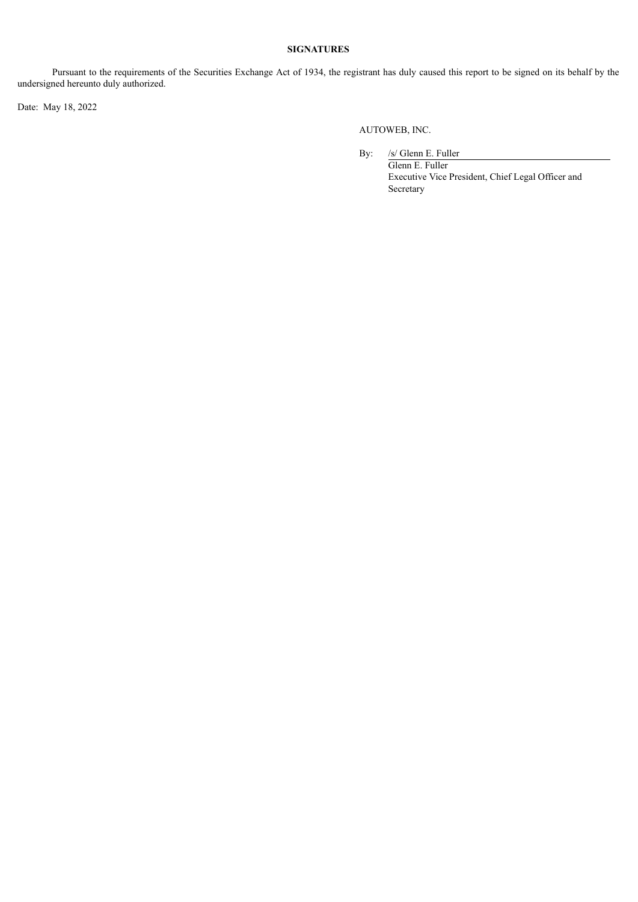# **SIGNATURES**

Pursuant to the requirements of the Securities Exchange Act of 1934, the registrant has duly caused this report to be signed on its behalf by the undersigned hereunto duly authorized.

Date: May 18, 2022

AUTOWEB, INC.

By: /s/ Glenn E. Fuller Glenn E. Fuller

Executive Vice President, Chief Legal Officer and Secretary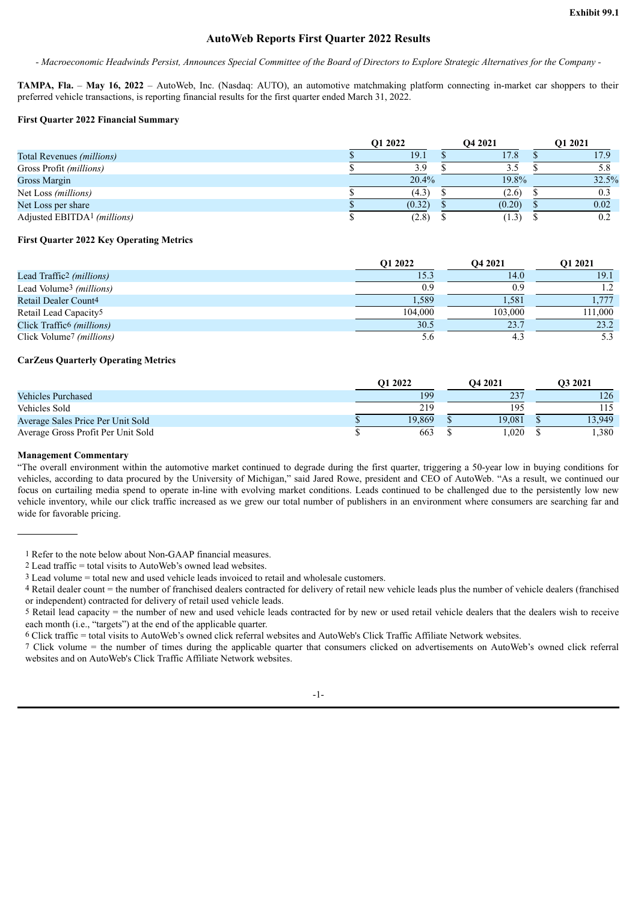## **AutoWeb Reports First Quarter 2022 Results**

<span id="page-3-0"></span>- Macroeconomic Headwinds Persist, Announces Special Committee of the Board of Directors to Explore Strategic Alternatives for the Company -

**TAMPA, Fla.** – **May 16, 2022** – AutoWeb, Inc. (Nasdaq: AUTO), an automotive matchmaking platform connecting in-market car shoppers to their preferred vehicle transactions, is reporting financial results for the first quarter ended March 31, 2022.

#### **First Quarter 2022 Financial Summary**

|                                         | O1 2022 |  | O <sub>4</sub> 2021 |  | O1 2021 |                  |  |
|-----------------------------------------|---------|--|---------------------|--|---------|------------------|--|
| Total Revenues (millions)               | 19.1    |  | 17.8                |  |         | 17.9             |  |
| Gross Profit (millions)                 | 3.9     |  |                     |  |         |                  |  |
| <b>Gross Margin</b>                     | 20.4%   |  | 19.8%               |  |         | 32.5%            |  |
| Net Loss (millions)                     | (4.3)   |  | (2.6)               |  |         | $0.\overline{3}$ |  |
| Net Loss per share                      | (0.32)  |  | (0.20)              |  |         | 0.02             |  |
| Adjusted EBITDA <sup>1</sup> (millions) | (2.8)   |  | (1.3)               |  |         |                  |  |

#### **First Quarter 2022 Key Operating Metrics**

|                                       | O1 2022 | O <sub>4</sub> 2021 | O1 2021 |
|---------------------------------------|---------|---------------------|---------|
| Lead Traffic <sup>2</sup> (millions)  |         | 14.0                | 19.1    |
| Lead Volume <sup>3</sup> (millions)   |         | 0.9                 |         |
| Retail Dealer Count <sup>4</sup>      | 1.589   | 1.581               |         |
| Retail Lead Capacity <sup>5</sup>     | 104.000 | 103,000             | 111,000 |
| Click Traffic <sup>6</sup> (millions) | 30.5    | 23.7                | 23.2    |
| Click Volume <sup>7</sup> (millions)  |         | 4.3                 |         |

#### **CarZeus Quarterly Operating Metrics**

|                                    | O1 2022 | O <sub>4</sub> 2021 | <b>O3 2021</b> |
|------------------------------------|---------|---------------------|----------------|
| <b>Vehicles Purchased</b>          | 199     | 237                 | 126            |
| Vehicles Sold                      | 219     | 195                 | 115            |
| Average Sales Price Per Unit Sold  | 19.869  | 19.081              | 13,949         |
| Average Gross Profit Per Unit Sold | 663     | .020                | .380           |

#### **Management Commentary**

"The overall environment within the automotive market continued to degrade during the first quarter, triggering a 50-year low in buying conditions for vehicles, according to data procured by the University of Michigan," said Jared Rowe, president and CEO of AutoWeb. "As a result, we continued our focus on curtailing media spend to operate in-line with evolving market conditions. Leads continued to be challenged due to the persistently low new vehicle inventory, while our click traffic increased as we grew our total number of publishers in an environment where consumers are searching far and wide for favorable pricing.

3 Lead volume = total new and used vehicle leads invoiced to retail and wholesale customers.

4 Retail dealer count = the number of franchised dealers contracted for delivery of retail new vehicle leads plus the number of vehicle dealers (franchised or independent) contracted for delivery of retail used vehicle leads.

5 Retail lead capacity = the number of new and used vehicle leads contracted for by new or used retail vehicle dealers that the dealers wish to receive each month (i.e., "targets") at the end of the applicable quarter.

6 Click traffic = total visits to AutoWeb's owned click referral websites and AutoWeb's Click Traffic Affiliate Network websites.

7 Click volume = the number of times during the applicable quarter that consumers clicked on advertisements on AutoWeb's owned click referral websites and on AutoWeb's Click Traffic Affiliate Network websites.

<sup>1</sup> Refer to the note below about Non-GAAP financial measures.

<sup>2</sup> Lead traffic = total visits to AutoWeb's owned lead websites.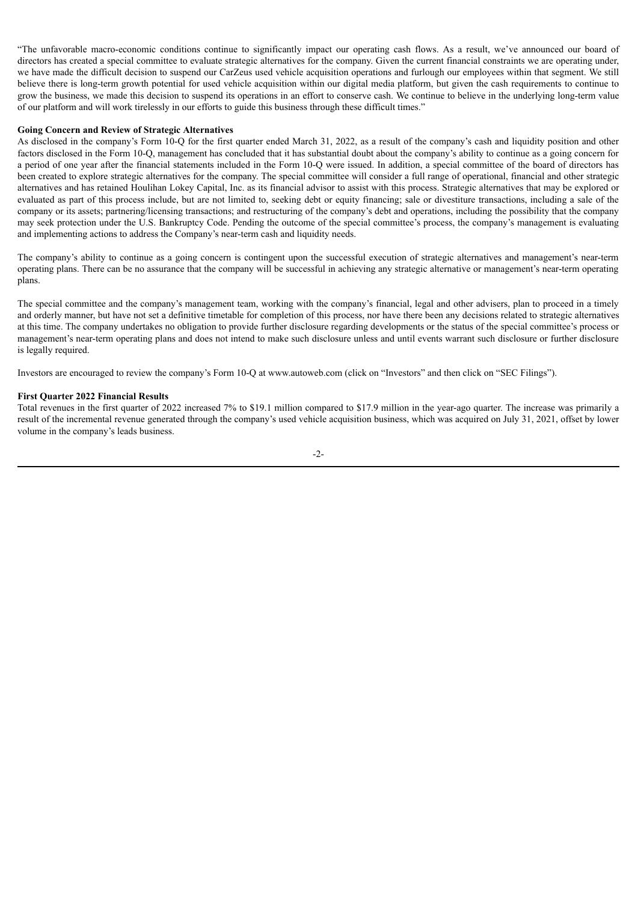"The unfavorable macro-economic conditions continue to significantly impact our operating cash flows. As a result, we've announced our board of directors has created a special committee to evaluate strategic alternatives for the company. Given the current financial constraints we are operating under, we have made the difficult decision to suspend our CarZeus used vehicle acquisition operations and furlough our employees within that segment. We still believe there is long-term growth potential for used vehicle acquisition within our digital media platform, but given the cash requirements to continue to grow the business, we made this decision to suspend its operations in an effort to conserve cash. We continue to believe in the underlying long-term value of our platform and will work tirelessly in our efforts to guide this business through these difficult times."

#### **Going Concern and Review of Strategic Alternatives**

As disclosed in the company's Form 10-Q for the first quarter ended March 31, 2022, as a result of the company's cash and liquidity position and other factors disclosed in the Form 10-Q, management has concluded that it has substantial doubt about the company's ability to continue as a going concern for a period of one year after the financial statements included in the Form 10-Q were issued. In addition, a special committee of the board of directors has been created to explore strategic alternatives for the company. The special committee will consider a full range of operational, financial and other strategic alternatives and has retained Houlihan Lokey Capital, Inc. as its financial advisor to assist with this process. Strategic alternatives that may be explored or evaluated as part of this process include, but are not limited to, seeking debt or equity financing; sale or divestiture transactions, including a sale of the company or its assets; partnering/licensing transactions; and restructuring of the company's debt and operations, including the possibility that the company may seek protection under the U.S. Bankruptcy Code. Pending the outcome of the special committee's process, the company's management is evaluating and implementing actions to address the Company's near-term cash and liquidity needs.

The company's ability to continue as a going concern is contingent upon the successful execution of strategic alternatives and management's near-term operating plans. There can be no assurance that the company will be successful in achieving any strategic alternative or management's near-term operating plans.

The special committee and the company's management team, working with the company's financial, legal and other advisers, plan to proceed in a timely and orderly manner, but have not set a definitive timetable for completion of this process, nor have there been any decisions related to strategic alternatives at this time. The company undertakes no obligation to provide further disclosure regarding developments or the status of the special committee's process or management's near-term operating plans and does not intend to make such disclosure unless and until events warrant such disclosure or further disclosure is legally required.

Investors are encouraged to review the company's Form 10-Q at www.autoweb.com (click on "Investors" and then click on "SEC Filings").

#### **First Quarter 2022 Financial Results**

Total revenues in the first quarter of 2022 increased 7% to \$19.1 million compared to \$17.9 million in the year-ago quarter. The increase was primarily a result of the incremental revenue generated through the company's used vehicle acquisition business, which was acquired on July 31, 2021, offset by lower volume in the company's leads business.

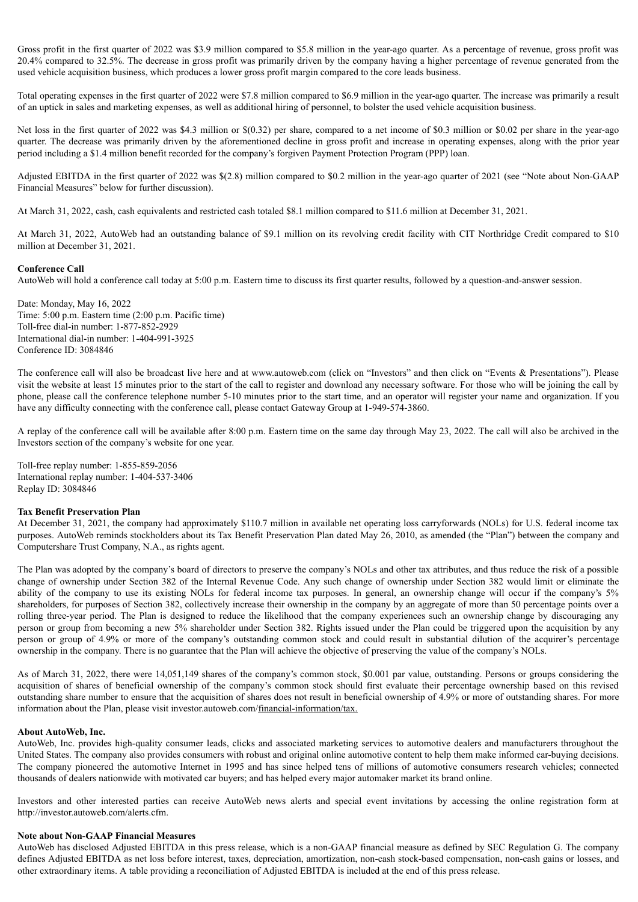Gross profit in the first quarter of 2022 was \$3.9 million compared to \$5.8 million in the year-ago quarter. As a percentage of revenue, gross profit was 20.4% compared to 32.5%. The decrease in gross profit was primarily driven by the company having a higher percentage of revenue generated from the used vehicle acquisition business, which produces a lower gross profit margin compared to the core leads business.

Total operating expenses in the first quarter of 2022 were \$7.8 million compared to \$6.9 million in the year-ago quarter. The increase was primarily a result of an uptick in sales and marketing expenses, as well as additional hiring of personnel, to bolster the used vehicle acquisition business.

Net loss in the first quarter of 2022 was \$4.3 million or \$(0.32) per share, compared to a net income of \$0.3 million or \$0.02 per share in the year-ago quarter. The decrease was primarily driven by the aforementioned decline in gross profit and increase in operating expenses, along with the prior year period including a \$1.4 million benefit recorded for the company's forgiven Payment Protection Program (PPP) loan.

Adjusted EBITDA in the first quarter of 2022 was \$(2.8) million compared to \$0.2 million in the year-ago quarter of 2021 (see "Note about Non-GAAP Financial Measures" below for further discussion).

At March 31, 2022, cash, cash equivalents and restricted cash totaled \$8.1 million compared to \$11.6 million at December 31, 2021.

At March 31, 2022, AutoWeb had an outstanding balance of \$9.1 million on its revolving credit facility with CIT Northridge Credit compared to \$10 million at December 31, 2021.

#### **Conference Call**

AutoWeb will hold a conference call today at 5:00 p.m. Eastern time to discuss its first quarter results, followed by a question-and-answer session.

Date: Monday, May 16, 2022 Time: 5:00 p.m. Eastern time (2:00 p.m. Pacific time) Toll-free dial-in number: 1-877-852-2929 International dial-in number: 1-404-991-3925 Conference ID: 3084846

The conference call will also be broadcast live here and at www.autoweb.com (click on "Investors" and then click on "Events & Presentations"). Please visit the website at least 15 minutes prior to the start of the call to register and download any necessary software. For those who will be joining the call by phone, please call the conference telephone number 5-10 minutes prior to the start time, and an operator will register your name and organization. If you have any difficulty connecting with the conference call, please contact Gateway Group at 1-949-574-3860.

A replay of the conference call will be available after 8:00 p.m. Eastern time on the same day through May 23, 2022. The call will also be archived in the Investors section of the company's website for one year.

Toll-free replay number: 1-855-859-2056 International replay number: 1-404-537-3406 Replay ID: 3084846

#### **Tax Benefit Preservation Plan**

At December 31, 2021, the company had approximately \$110.7 million in available net operating loss carryforwards (NOLs) for U.S. federal income tax purposes. AutoWeb reminds stockholders about its Tax Benefit Preservation Plan dated May 26, 2010, as amended (the "Plan") between the company and Computershare Trust Company, N.A., as rights agent.

The Plan was adopted by the company's board of directors to preserve the company's NOLs and other tax attributes, and thus reduce the risk of a possible change of ownership under Section 382 of the Internal Revenue Code. Any such change of ownership under Section 382 would limit or eliminate the ability of the company to use its existing NOLs for federal income tax purposes. In general, an ownership change will occur if the company's 5% shareholders, for purposes of Section 382, collectively increase their ownership in the company by an aggregate of more than 50 percentage points over a rolling three-year period. The Plan is designed to reduce the likelihood that the company experiences such an ownership change by discouraging any person or group from becoming a new 5% shareholder under Section 382. Rights issued under the Plan could be triggered upon the acquisition by any person or group of 4.9% or more of the company's outstanding common stock and could result in substantial dilution of the acquirer's percentage ownership in the company. There is no guarantee that the Plan will achieve the objective of preserving the value of the company's NOLs.

As of March 31, 2022, there were 14,051,149 shares of the company's common stock, \$0.001 par value, outstanding. Persons or groups considering the acquisition of shares of beneficial ownership of the company's common stock should first evaluate their percentage ownership based on this revised outstanding share number to ensure that the acquisition of shares does not result in beneficial ownership of 4.9% or more of outstanding shares. For more information about the Plan, please visit investor.autoweb.com/financial-information/tax.

#### **About AutoWeb, Inc.**

AutoWeb, Inc. provides high-quality consumer leads, clicks and associated marketing services to automotive dealers and manufacturers throughout the United States. The company also provides consumers with robust and original online automotive content to help them make informed car-buying decisions. The company pioneered the automotive Internet in 1995 and has since helped tens of millions of automotive consumers research vehicles; connected thousands of dealers nationwide with motivated car buyers; and has helped every major automaker market its brand online.

Investors and other interested parties can receive AutoWeb news alerts and special event invitations by accessing the online registration form at http://investor.autoweb.com/alerts.cfm.

#### **Note about Non-GAAP Financial Measures**

AutoWeb has disclosed Adjusted EBITDA in this press release, which is a non-GAAP financial measure as defined by SEC Regulation G. The company defines Adjusted EBITDA as net loss before interest, taxes, depreciation, amortization, non-cash stock-based compensation, non-cash gains or losses, and other extraordinary items. A table providing a reconciliation of Adjusted EBITDA is included at the end of this press release.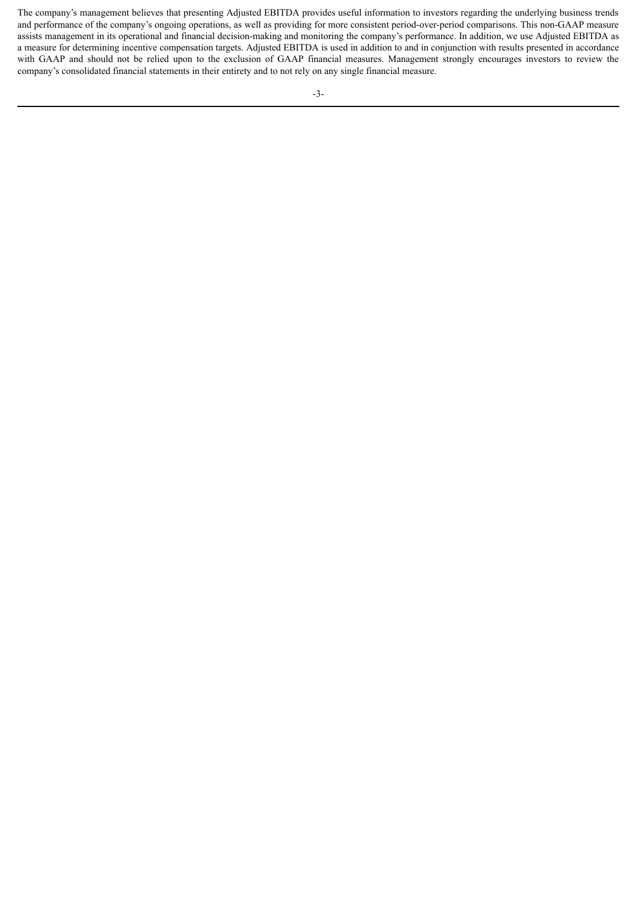The company's management believes that presenting Adjusted EBITDA provides useful information to investors regarding the underlying business trends and performance of the company's ongoing operations, as well as providing for more consistent period-over-period comparisons. This non-GAAP measure assists management in its operational and financial decision-making and monitoring the company's performance. In addition, we use Adjusted EBITDA as a measure for determining incentive compensation targets. Adjusted EBITDA is used in addition to and in conjunction with results presented in accordance with GAAP and should not be relied upon to the exclusion of GAAP financial measures. Management strongly encourages investors to review the company's consolidated financial statements in their entirety and to not rely on any single financial measure.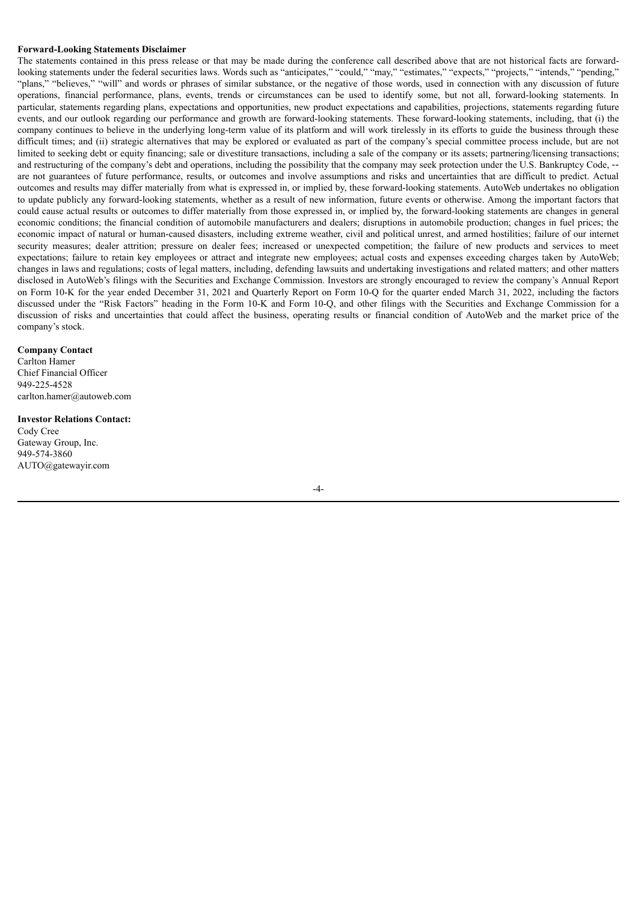#### **Forward-Looking Statements Disclaimer**

The statements contained in this press release or that may be made during the conference call described above that are not historical facts are forwardlooking statements under the federal securities laws. Words such as "anticipates," "could," "may," "estimates," "expects," "projects," "intends," "pending," "plans," "believes," "will" and words or phrases of similar substance, or the negative of those words, used in connection with any discussion of future operations, financial performance, plans, events, trends or circumstances can be used to identify some, but not all, forward-looking statements. In particular, statements regarding plans, expectations and opportunities, new product expectations and capabilities, projections, statements regarding future events, and our outlook regarding our performance and growth are forward-looking statements. These forward-looking statements, including, that (i) the company continues to believe in the underlying long-term value of its platform and will work tirelessly in its efforts to guide the business through these difficult times; and (ii) strategic alternatives that may be explored or evaluated as part of the company's special committee process include, but are not limited to seeking debt or equity financing; sale or divestiture transactions, including a sale of the company or its assets; partnering/licensing transactions; and restructuring of the company's debt and operations, including the possibility that the company may seek protection under the U.S. Bankruptcy Code, -are not guarantees of future performance, results, or outcomes and involve assumptions and risks and uncertainties that are difficult to predict. Actual outcomes and results may differ materially from what is expressed in, or implied by, these forward-looking statements. AutoWeb undertakes no obligation to update publicly any forward-looking statements, whether as a result of new information, future events or otherwise. Among the important factors that could cause actual results or outcomes to differ materially from those expressed in, or implied by, the forward-looking statements are changes in general economic conditions; the financial condition of automobile manufacturers and dealers; disruptions in automobile production; changes in fuel prices; the economic impact of natural or human-caused disasters, including extreme weather, civil and political unrest, and armed hostilities; failure of our internet security measures; dealer attrition; pressure on dealer fees; increased or unexpected competition; the failure of new products and services to meet expectations; failure to retain key employees or attract and integrate new employees; actual costs and expenses exceeding charges taken by AutoWeb; changes in laws and regulations; costs of legal matters, including, defending lawsuits and undertaking investigations and related matters; and other matters disclosed in AutoWeb's filings with the Securities and Exchange Commission. Investors are strongly encouraged to review the company's Annual Report on Form 10-K for the year ended December 31, 2021 and Quarterly Report on Form 10-Q for the quarter ended March 31, 2022, including the factors discussed under the "Risk Factors" heading in the Form 10-K and Form 10-Q, and other filings with the Securities and Exchange Commission for a discussion of risks and uncertainties that could affect the business, operating results or financial condition of AutoWeb and the market price of the company's stock.

#### **Company Contact**

Carlton Hamer Chief Financial Officer 949-225-4528 carlton.hamer@autoweb.com

#### **Investor Relations Contact:**

Cody Cree Gateway Group, Inc. 949-574-3860 AUTO@gatewayir.com

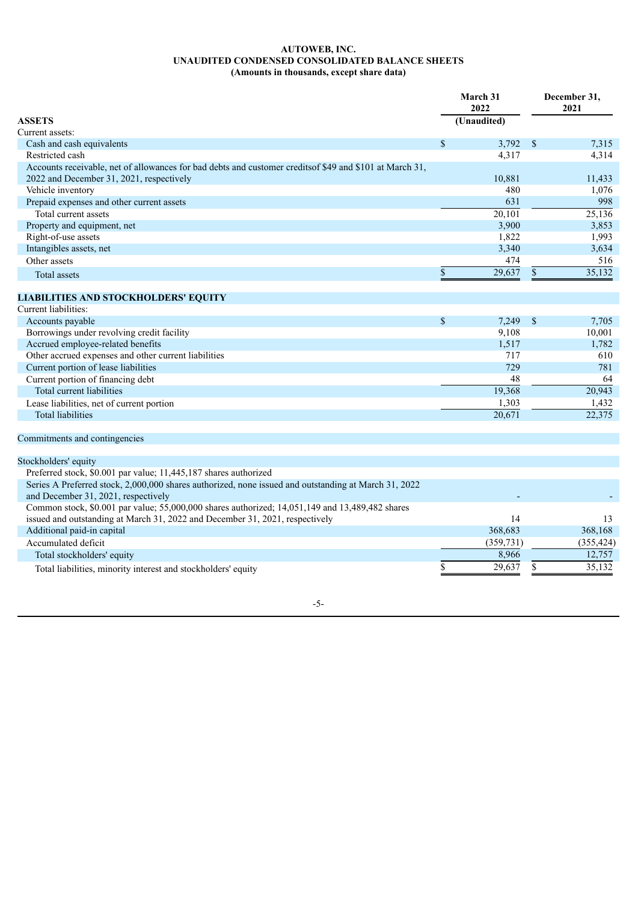# **AUTOWEB, INC. UNAUDITED CONDENSED CONSOLIDATED BALANCE SHEETS (Amounts in thousands, except share data)**

|                                                                                                          |    | March 31<br>2022 | December 31,<br>2021 |            |  |
|----------------------------------------------------------------------------------------------------------|----|------------------|----------------------|------------|--|
| <b>ASSETS</b>                                                                                            |    | (Unaudited)      |                      |            |  |
| Current assets:                                                                                          |    |                  |                      |            |  |
| Cash and cash equivalents                                                                                | \$ | 3,792            | <sup>\$</sup>        | 7.315      |  |
| Restricted cash                                                                                          |    | 4.317            |                      | 4,314      |  |
| Accounts receivable, net of allowances for bad debts and customer credits of \$49 and \$101 at March 31, |    |                  |                      |            |  |
| 2022 and December 31, 2021, respectively                                                                 |    | 10,881           |                      | 11,433     |  |
| Vehicle inventory                                                                                        |    | 480              |                      | 1,076      |  |
| Prepaid expenses and other current assets                                                                |    | 631              |                      | 998        |  |
| Total current assets                                                                                     |    | 20,101           |                      | 25,136     |  |
| Property and equipment, net                                                                              |    | 3,900            |                      | 3,853      |  |
| Right-of-use assets                                                                                      |    | 1,822            |                      | 1,993      |  |
| Intangibles assets, net                                                                                  |    | 3,340            |                      | 3,634      |  |
| Other assets                                                                                             |    | 474              |                      | 516        |  |
| <b>Total assets</b>                                                                                      | \$ | 29,637           | \$                   | 35,132     |  |
| <b>LIABILITIES AND STOCKHOLDERS' EQUITY</b>                                                              |    |                  |                      |            |  |
| Current liabilities:                                                                                     |    |                  |                      |            |  |
| Accounts payable                                                                                         | \$ | 7,249            | \$                   | 7,705      |  |
| Borrowings under revolving credit facility                                                               |    | 9,108            |                      | 10,001     |  |
| Accrued employee-related benefits                                                                        |    | 1,517            |                      | 1,782      |  |
| Other accrued expenses and other current liabilities                                                     |    | 717              |                      | 610        |  |
| Current portion of lease liabilities                                                                     |    | 729              |                      | 781        |  |
| Current portion of financing debt                                                                        |    | 48               |                      | 64         |  |
| Total current liabilities                                                                                |    | 19,368           |                      | 20,943     |  |
| Lease liabilities, net of current portion                                                                |    | 1,303            |                      | 1,432      |  |
| <b>Total liabilities</b>                                                                                 |    | 20,671           |                      | 22,375     |  |
| Commitments and contingencies                                                                            |    |                  |                      |            |  |
|                                                                                                          |    |                  |                      |            |  |
| Stockholders' equity                                                                                     |    |                  |                      |            |  |
| Preferred stock, \$0.001 par value; 11,445,187 shares authorized                                         |    |                  |                      |            |  |
| Series A Preferred stock, 2,000,000 shares authorized, none issued and outstanding at March 31, 2022     |    |                  |                      |            |  |
| and December 31, 2021, respectively                                                                      |    |                  |                      |            |  |
| Common stock, \$0.001 par value; 55,000,000 shares authorized; 14,051,149 and 13,489,482 shares          |    |                  |                      |            |  |
| issued and outstanding at March 31, 2022 and December 31, 2021, respectively                             |    | 14               |                      | 13         |  |
| Additional paid-in capital                                                                               |    | 368,683          |                      | 368,168    |  |
| Accumulated deficit                                                                                      |    | (359, 731)       |                      | (355, 424) |  |
| Total stockholders' equity                                                                               |    | 8,966            |                      | 12,757     |  |
| Total liabilities, minority interest and stockholders' equity                                            | \$ | 29,637           | \$                   | 35,132     |  |

-5-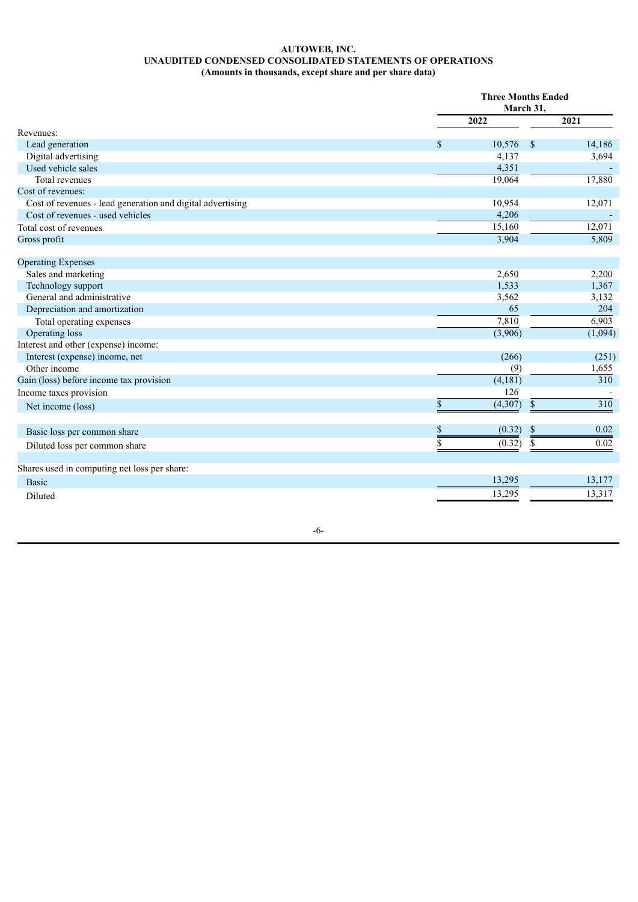# **AUTOWEB, INC. UNAUDITED CONDENSED CONSOLIDATED STATEMENTS OF OPERATIONS (Amounts in thousands, except share and per share data)**

|                                                            | <b>Three Months Ended</b><br>March 31, |                  |  |  |
|------------------------------------------------------------|----------------------------------------|------------------|--|--|
|                                                            | 2022                                   | 2021             |  |  |
| Revenues:                                                  |                                        |                  |  |  |
| Lead generation                                            | \$<br>10,576<br>$\mathbf{\hat{S}}$     | 14,186           |  |  |
| Digital advertising                                        | 4,137                                  | 3,694            |  |  |
| Used vehicle sales<br>Total revenues                       | 4,351<br>19,064                        | 17,880           |  |  |
| Cost of revenues:                                          |                                        |                  |  |  |
| Cost of revenues - lead generation and digital advertising | 10,954                                 | 12,071           |  |  |
| Cost of revenues - used vehicles                           | 4,206                                  |                  |  |  |
| Total cost of revenues                                     | 15,160                                 | 12,071           |  |  |
| Gross profit                                               | 3,904                                  | 5,809            |  |  |
|                                                            |                                        |                  |  |  |
| <b>Operating Expenses</b>                                  |                                        |                  |  |  |
| Sales and marketing                                        | 2,650                                  | 2,200            |  |  |
| Technology support                                         | 1,533                                  | 1,367            |  |  |
| General and administrative                                 | 3,562                                  | 3,132            |  |  |
| Depreciation and amortization                              | 65                                     | 204              |  |  |
| Total operating expenses                                   | 7,810                                  | 6,903            |  |  |
| Operating loss                                             | (3,906)                                | (1,094)          |  |  |
| Interest and other (expense) income:                       |                                        |                  |  |  |
| Interest (expense) income, net                             | (266)                                  | (251)            |  |  |
| Other income                                               | (9)                                    | 1,655            |  |  |
| Gain (loss) before income tax provision                    | (4,181)                                | $\overline{310}$ |  |  |
| Income taxes provision                                     | 126                                    |                  |  |  |
| Net income (loss)                                          | \$<br>(4,307)<br>$\$$                  | $\overline{310}$ |  |  |
|                                                            | \$<br>(0.32)<br>$\mathbf{\hat{S}}$     | 0.02             |  |  |
| Basic loss per common share                                |                                        |                  |  |  |
| Diluted loss per common share                              | \$<br>\$<br>(0.32)                     | 0.02             |  |  |
| Shares used in computing net loss per share:               |                                        |                  |  |  |
| <b>Basic</b>                                               | 13,295                                 | 13,177           |  |  |
| Diluted                                                    | 13,295                                 | 13,317           |  |  |
|                                                            |                                        |                  |  |  |

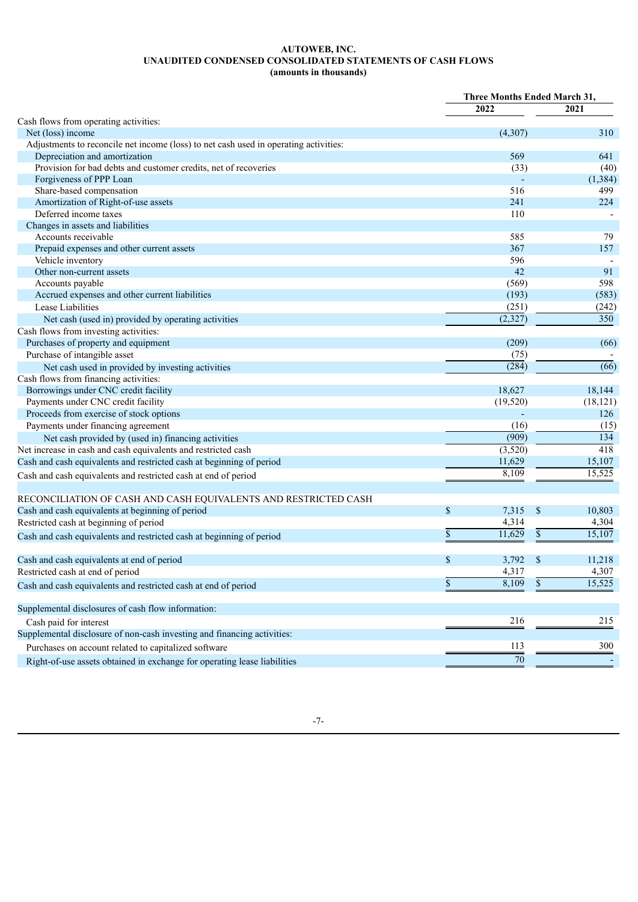# **AUTOWEB, INC. UNAUDITED CONDENSED CONSOLIDATED STATEMENTS OF CASH FLOWS (amounts in thousands)**

|                                                                                      | <b>Three Months Ended March 31,</b> |                           |           |
|--------------------------------------------------------------------------------------|-------------------------------------|---------------------------|-----------|
|                                                                                      | 2022                                |                           | 2021      |
| Cash flows from operating activities:                                                |                                     |                           |           |
| Net (loss) income                                                                    | (4,307)                             |                           | 310       |
| Adjustments to reconcile net income (loss) to net cash used in operating activities: |                                     |                           |           |
| Depreciation and amortization                                                        | 569                                 |                           | 641       |
| Provision for bad debts and customer credits, net of recoveries                      | (33)                                |                           | (40)      |
| Forgiveness of PPP Loan                                                              |                                     |                           | (1, 384)  |
| Share-based compensation                                                             | 516                                 |                           | 499       |
| Amortization of Right-of-use assets                                                  | 241                                 |                           | 224       |
| Deferred income taxes                                                                | 110                                 |                           |           |
| Changes in assets and liabilities                                                    |                                     |                           |           |
| Accounts receivable                                                                  | 585                                 |                           | 79        |
| Prepaid expenses and other current assets                                            | 367                                 |                           | 157       |
| Vehicle inventory                                                                    | 596                                 |                           |           |
| Other non-current assets                                                             | 42                                  |                           | 91        |
| Accounts payable                                                                     | (569)                               |                           | 598       |
| Accrued expenses and other current liabilities                                       | (193)                               |                           | (583)     |
| Lease Liabilities                                                                    | (251)                               |                           | (242)     |
| Net cash (used in) provided by operating activities                                  | (2, 327)                            |                           | 350       |
| Cash flows from investing activities:                                                |                                     |                           |           |
| Purchases of property and equipment                                                  | (209)                               |                           | (66)      |
| Purchase of intangible asset                                                         | (75)                                |                           |           |
| Net cash used in provided by investing activities                                    | (284)                               |                           | (66)      |
| Cash flows from financing activities:                                                |                                     |                           |           |
| Borrowings under CNC credit facility                                                 | 18,627                              |                           | 18,144    |
| Payments under CNC credit facility                                                   | (19, 520)                           |                           | (18, 121) |
| Proceeds from exercise of stock options                                              |                                     |                           | 126       |
| Payments under financing agreement                                                   | (16)                                |                           | (15)      |
| Net cash provided by (used in) financing activities                                  | (909)                               |                           | 134       |
| Net increase in cash and cash equivalents and restricted cash                        | (3,520)                             |                           | 418       |
| Cash and cash equivalents and restricted cash at beginning of period                 | 11,629                              |                           | 15,107    |
| Cash and cash equivalents and restricted cash at end of period                       | 8,109                               |                           | 15,525    |
|                                                                                      |                                     |                           |           |
| RECONCILIATION OF CASH AND CASH EQUIVALENTS AND RESTRICTED CASH                      |                                     |                           |           |
| Cash and cash equivalents at beginning of period                                     | \$<br>7,315                         | $\sqrt$                   | 10,803    |
| Restricted cash at beginning of period                                               | 4,314                               |                           | 4,304     |
|                                                                                      | \$<br>11,629                        | $\boldsymbol{\mathsf{S}}$ | 15,107    |
| Cash and cash equivalents and restricted cash at beginning of period                 |                                     |                           |           |
| Cash and cash equivalents at end of period                                           | \$<br>3,792                         | $\sqrt{3}$                | 11,218    |
| Restricted cash at end of period                                                     | 4,317                               |                           | 4,307     |
| Cash and cash equivalents and restricted cash at end of period                       | \$<br>8,109                         | \$                        | 15,525    |
| Supplemental disclosures of cash flow information:                                   |                                     |                           |           |
| Cash paid for interest                                                               | 216                                 |                           | 215       |
| Supplemental disclosure of non-cash investing and financing activities:              |                                     |                           |           |
| Purchases on account related to capitalized software                                 | 113                                 |                           | 300       |
|                                                                                      | 70                                  |                           |           |
| Right-of-use assets obtained in exchange for operating lease liabilities             |                                     |                           |           |

-7-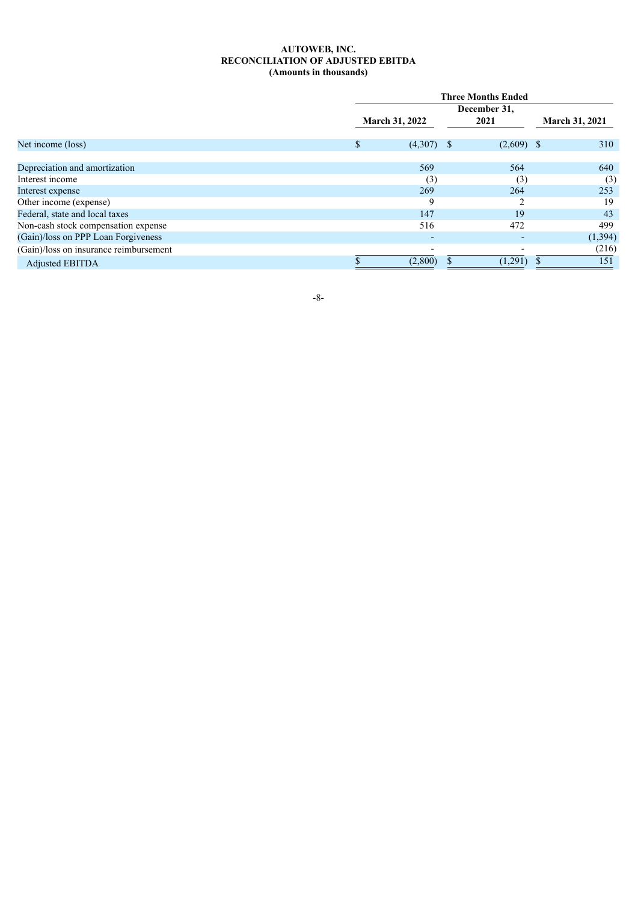# **AUTOWEB, INC. RECONCILIATION OF ADJUSTED EBITDA (Amounts in thousands)**

|                                        |                       | <b>Three Months Ended</b> |  |              |  |                       |
|----------------------------------------|-----------------------|---------------------------|--|--------------|--|-----------------------|
|                                        |                       | December 31,              |  |              |  |                       |
|                                        | <b>March 31, 2022</b> |                           |  | 2021         |  | <b>March 31, 2021</b> |
| Net income (loss)                      | \$                    | $(4,307)$ \$              |  | $(2,609)$ \$ |  | 310                   |
| Depreciation and amortization          |                       | 569                       |  | 564          |  | 640                   |
| Interest income                        |                       | (3)                       |  | (3)          |  | (3)                   |
| Interest expense                       |                       | 269                       |  | 264          |  | 253                   |
| Other income (expense)                 |                       | Q                         |  |              |  | 19                    |
| Federal, state and local taxes         |                       | 147                       |  | 19           |  | 43                    |
| Non-cash stock compensation expense    |                       | 516                       |  | 472          |  | 499                   |
| (Gain)/loss on PPP Loan Forgiveness    |                       |                           |  |              |  | (1, 394)              |
| (Gain)/loss on insurance reimbursement |                       |                           |  |              |  | (216)                 |
| <b>Adjusted EBITDA</b>                 |                       | (2,800)                   |  | (1, 291)     |  | 151                   |

-8-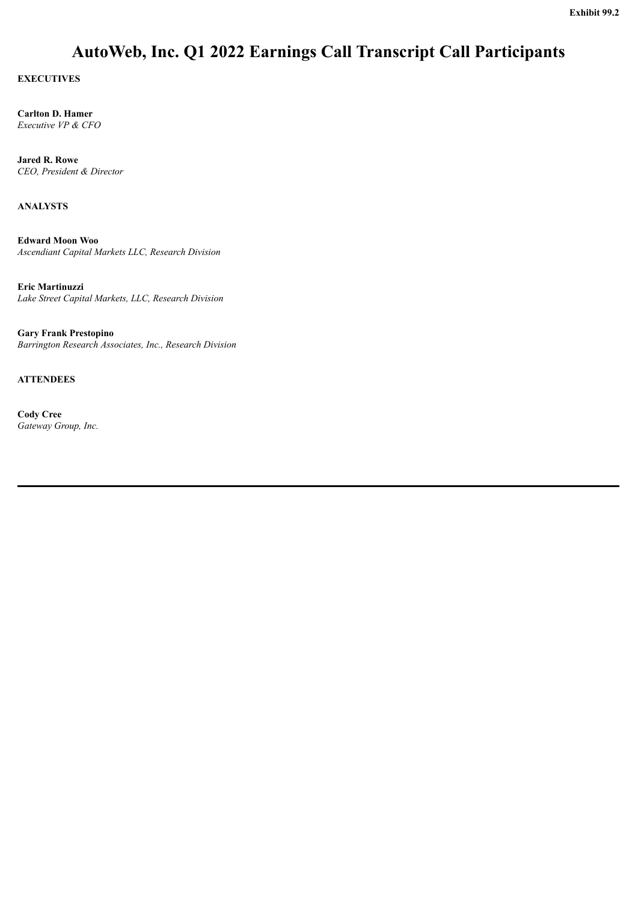# <span id="page-12-0"></span>**AutoWeb, Inc. Q1 2022 Earnings Call Transcript Call Participants**

# **EXECUTIVES**

**Carlton D. Hamer** *Executive VP & CFO*

**Jared R. Rowe** *CEO, President & Director*

# **ANALYSTS**

**Edward Moon Woo** *Ascendiant Capital Markets LLC, Research Division*

**Eric Martinuzzi** *Lake Street Capital Markets, LLC, Research Division*

**Gary Frank Prestopino** *Barrington Research Associates, Inc., Research Division*

# **ATTENDEES**

**Cody Cree** *Gateway Group, Inc.*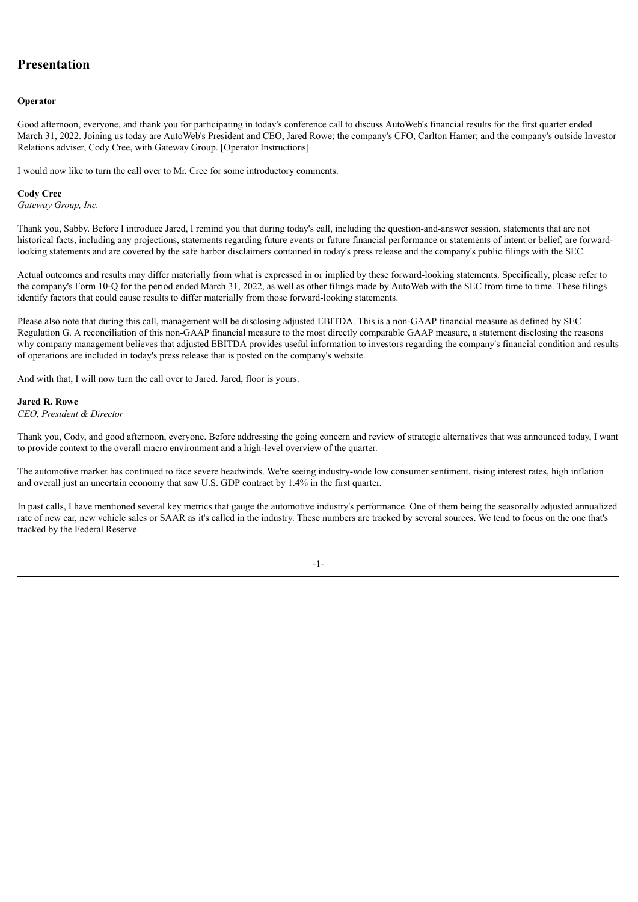# **Presentation**

## **Operator**

Good afternoon, everyone, and thank you for participating in today's conference call to discuss AutoWeb's financial results for the first quarter ended March 31, 2022. Joining us today are AutoWeb's President and CEO, Jared Rowe; the company's CFO, Carlton Hamer; and the company's outside Investor Relations adviser, Cody Cree, with Gateway Group. [Operator Instructions]

I would now like to turn the call over to Mr. Cree for some introductory comments.

#### **Cody Cree**

*Gateway Group, Inc.*

Thank you, Sabby. Before I introduce Jared, I remind you that during today's call, including the question-and-answer session, statements that are not historical facts, including any projections, statements regarding future events or future financial performance or statements of intent or belief, are forwardlooking statements and are covered by the safe harbor disclaimers contained in today's press release and the company's public filings with the SEC.

Actual outcomes and results may differ materially from what is expressed in or implied by these forward-looking statements. Specifically, please refer to the company's Form 10-Q for the period ended March 31, 2022, as well as other filings made by AutoWeb with the SEC from time to time. These filings identify factors that could cause results to differ materially from those forward-looking statements.

Please also note that during this call, management will be disclosing adjusted EBITDA. This is a non-GAAP financial measure as defined by SEC Regulation G. A reconciliation of this non-GAAP financial measure to the most directly comparable GAAP measure, a statement disclosing the reasons why company management believes that adjusted EBITDA provides useful information to investors regarding the company's financial condition and results of operations are included in today's press release that is posted on the company's website.

And with that, I will now turn the call over to Jared. Jared, floor is yours.

# **Jared R. Rowe**

*CEO, President & Director*

Thank you, Cody, and good afternoon, everyone. Before addressing the going concern and review of strategic alternatives that was announced today, I want to provide context to the overall macro environment and a high-level overview of the quarter.

The automotive market has continued to face severe headwinds. We're seeing industry-wide low consumer sentiment, rising interest rates, high inflation and overall just an uncertain economy that saw U.S. GDP contract by 1.4% in the first quarter.

In past calls, I have mentioned several key metrics that gauge the automotive industry's performance. One of them being the seasonally adjusted annualized rate of new car, new vehicle sales or SAAR as it's called in the industry. These numbers are tracked by several sources. We tend to focus on the one that's tracked by the Federal Reserve.

-1-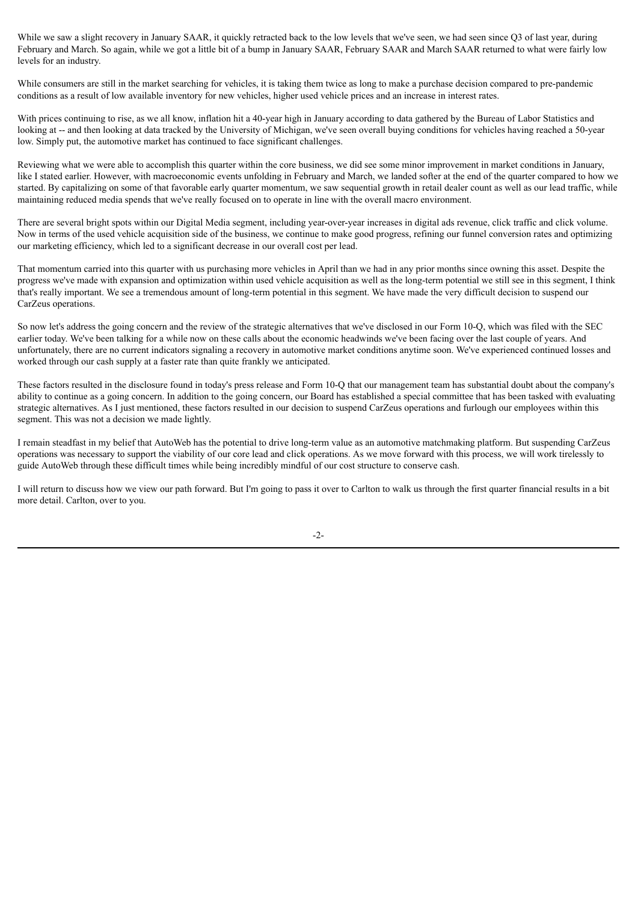While we saw a slight recovery in January SAAR, it quickly retracted back to the low levels that we've seen, we had seen since Q3 of last year, during February and March. So again, while we got a little bit of a bump in January SAAR, February SAAR and March SAAR returned to what were fairly low levels for an industry.

While consumers are still in the market searching for vehicles, it is taking them twice as long to make a purchase decision compared to pre-pandemic conditions as a result of low available inventory for new vehicles, higher used vehicle prices and an increase in interest rates.

With prices continuing to rise, as we all know, inflation hit a 40-year high in January according to data gathered by the Bureau of Labor Statistics and looking at -- and then looking at data tracked by the University of Michigan, we've seen overall buying conditions for vehicles having reached a 50-year low. Simply put, the automotive market has continued to face significant challenges.

Reviewing what we were able to accomplish this quarter within the core business, we did see some minor improvement in market conditions in January, like I stated earlier. However, with macroeconomic events unfolding in February and March, we landed softer at the end of the quarter compared to how we started. By capitalizing on some of that favorable early quarter momentum, we saw sequential growth in retail dealer count as well as our lead traffic, while maintaining reduced media spends that we've really focused on to operate in line with the overall macro environment.

There are several bright spots within our Digital Media segment, including year-over-year increases in digital ads revenue, click traffic and click volume. Now in terms of the used vehicle acquisition side of the business, we continue to make good progress, refining our funnel conversion rates and optimizing our marketing efficiency, which led to a significant decrease in our overall cost per lead.

That momentum carried into this quarter with us purchasing more vehicles in April than we had in any prior months since owning this asset. Despite the progress we've made with expansion and optimization within used vehicle acquisition as well as the long-term potential we still see in this segment, I think that's really important. We see a tremendous amount of long-term potential in this segment. We have made the very difficult decision to suspend our CarZeus operations.

So now let's address the going concern and the review of the strategic alternatives that we've disclosed in our Form 10-Q, which was filed with the SEC earlier today. We've been talking for a while now on these calls about the economic headwinds we've been facing over the last couple of years. And unfortunately, there are no current indicators signaling a recovery in automotive market conditions anytime soon. We've experienced continued losses and worked through our cash supply at a faster rate than quite frankly we anticipated.

These factors resulted in the disclosure found in today's press release and Form 10-Q that our management team has substantial doubt about the company's ability to continue as a going concern. In addition to the going concern, our Board has established a special committee that has been tasked with evaluating strategic alternatives. As I just mentioned, these factors resulted in our decision to suspend CarZeus operations and furlough our employees within this segment. This was not a decision we made lightly.

I remain steadfast in my belief that AutoWeb has the potential to drive long-term value as an automotive matchmaking platform. But suspending CarZeus operations was necessary to support the viability of our core lead and click operations. As we move forward with this process, we will work tirelessly to guide AutoWeb through these difficult times while being incredibly mindful of our cost structure to conserve cash.

I will return to discuss how we view our path forward. But I'm going to pass it over to Carlton to walk us through the first quarter financial results in a bit more detail. Carlton, over to you.

-2-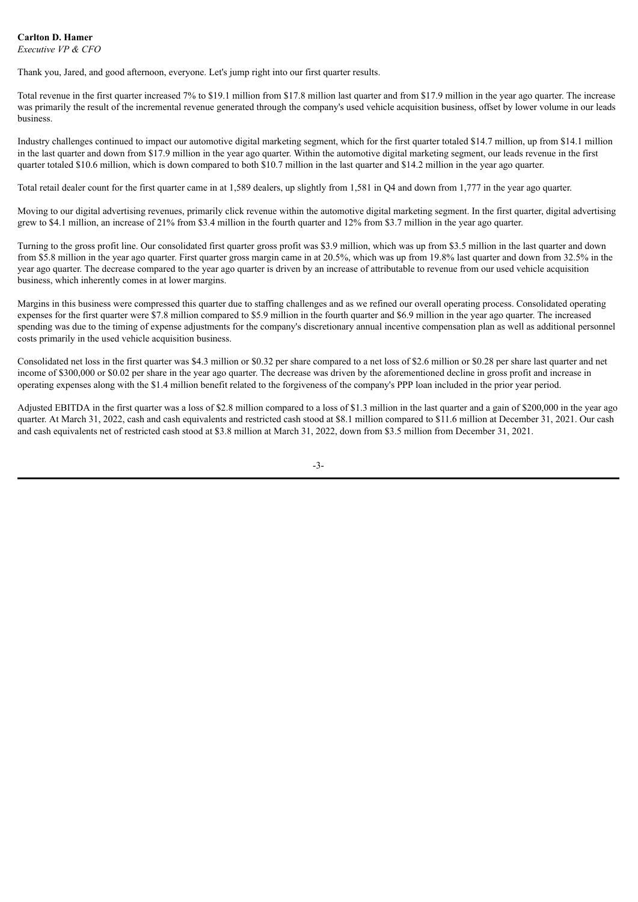## **Carlton D. Hamer** *Executive VP & CFO*

Thank you, Jared, and good afternoon, everyone. Let's jump right into our first quarter results.

Total revenue in the first quarter increased 7% to \$19.1 million from \$17.8 million last quarter and from \$17.9 million in the year ago quarter. The increase was primarily the result of the incremental revenue generated through the company's used vehicle acquisition business, offset by lower volume in our leads business.

Industry challenges continued to impact our automotive digital marketing segment, which for the first quarter totaled \$14.7 million, up from \$14.1 million in the last quarter and down from \$17.9 million in the year ago quarter. Within the automotive digital marketing segment, our leads revenue in the first quarter totaled \$10.6 million, which is down compared to both \$10.7 million in the last quarter and \$14.2 million in the year ago quarter.

Total retail dealer count for the first quarter came in at 1,589 dealers, up slightly from 1,581 in Q4 and down from 1,777 in the year ago quarter.

Moving to our digital advertising revenues, primarily click revenue within the automotive digital marketing segment. In the first quarter, digital advertising grew to \$4.1 million, an increase of 21% from \$3.4 million in the fourth quarter and 12% from \$3.7 million in the year ago quarter.

Turning to the gross profit line. Our consolidated first quarter gross profit was \$3.9 million, which was up from \$3.5 million in the last quarter and down from \$5.8 million in the year ago quarter. First quarter gross margin came in at 20.5%, which was up from 19.8% last quarter and down from 32.5% in the year ago quarter. The decrease compared to the year ago quarter is driven by an increase of attributable to revenue from our used vehicle acquisition business, which inherently comes in at lower margins.

Margins in this business were compressed this quarter due to staffing challenges and as we refined our overall operating process. Consolidated operating expenses for the first quarter were \$7.8 million compared to \$5.9 million in the fourth quarter and \$6.9 million in the year ago quarter. The increased spending was due to the timing of expense adjustments for the company's discretionary annual incentive compensation plan as well as additional personnel costs primarily in the used vehicle acquisition business.

Consolidated net loss in the first quarter was \$4.3 million or \$0.32 per share compared to a net loss of \$2.6 million or \$0.28 per share last quarter and net income of \$300,000 or \$0.02 per share in the year ago quarter. The decrease was driven by the aforementioned decline in gross profit and increase in operating expenses along with the \$1.4 million benefit related to the forgiveness of the company's PPP loan included in the prior year period.

Adjusted EBITDA in the first quarter was a loss of \$2.8 million compared to a loss of \$1.3 million in the last quarter and a gain of \$200,000 in the year ago quarter. At March 31, 2022, cash and cash equivalents and restricted cash stood at \$8.1 million compared to \$11.6 million at December 31, 2021. Our cash and cash equivalents net of restricted cash stood at \$3.8 million at March 31, 2022, down from \$3.5 million from December 31, 2021.

-3-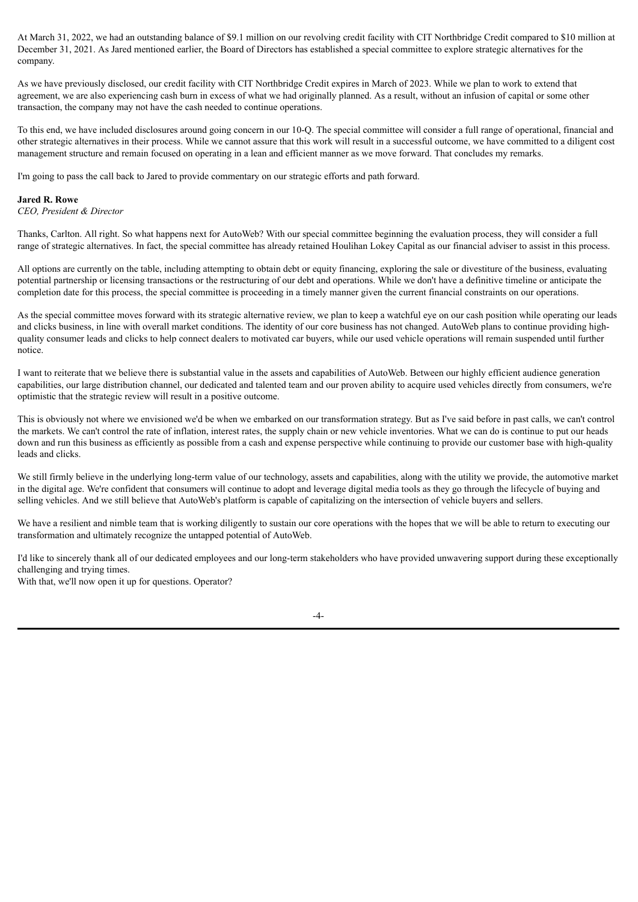At March 31, 2022, we had an outstanding balance of \$9.1 million on our revolving credit facility with CIT Northbridge Credit compared to \$10 million at December 31, 2021. As Jared mentioned earlier, the Board of Directors has established a special committee to explore strategic alternatives for the company.

As we have previously disclosed, our credit facility with CIT Northbridge Credit expires in March of 2023. While we plan to work to extend that agreement, we are also experiencing cash burn in excess of what we had originally planned. As a result, without an infusion of capital or some other transaction, the company may not have the cash needed to continue operations.

To this end, we have included disclosures around going concern in our 10-Q. The special committee will consider a full range of operational, financial and other strategic alternatives in their process. While we cannot assure that this work will result in a successful outcome, we have committed to a diligent cost management structure and remain focused on operating in a lean and efficient manner as we move forward. That concludes my remarks.

I'm going to pass the call back to Jared to provide commentary on our strategic efforts and path forward.

#### **Jared R. Rowe**

*CEO, President & Director*

Thanks, Carlton. All right. So what happens next for AutoWeb? With our special committee beginning the evaluation process, they will consider a full range of strategic alternatives. In fact, the special committee has already retained Houlihan Lokey Capital as our financial adviser to assist in this process.

All options are currently on the table, including attempting to obtain debt or equity financing, exploring the sale or divestiture of the business, evaluating potential partnership or licensing transactions or the restructuring of our debt and operations. While we don't have a definitive timeline or anticipate the completion date for this process, the special committee is proceeding in a timely manner given the current financial constraints on our operations.

As the special committee moves forward with its strategic alternative review, we plan to keep a watchful eye on our cash position while operating our leads and clicks business, in line with overall market conditions. The identity of our core business has not changed. AutoWeb plans to continue providing highquality consumer leads and clicks to help connect dealers to motivated car buyers, while our used vehicle operations will remain suspended until further notice.

I want to reiterate that we believe there is substantial value in the assets and capabilities of AutoWeb. Between our highly efficient audience generation capabilities, our large distribution channel, our dedicated and talented team and our proven ability to acquire used vehicles directly from consumers, we're optimistic that the strategic review will result in a positive outcome.

This is obviously not where we envisioned we'd be when we embarked on our transformation strategy. But as I've said before in past calls, we can't control the markets. We can't control the rate of inflation, interest rates, the supply chain or new vehicle inventories. What we can do is continue to put our heads down and run this business as efficiently as possible from a cash and expense perspective while continuing to provide our customer base with high-quality leads and clicks.

We still firmly believe in the underlying long-term value of our technology, assets and capabilities, along with the utility we provide, the automotive market in the digital age. We're confident that consumers will continue to adopt and leverage digital media tools as they go through the lifecycle of buying and selling vehicles. And we still believe that AutoWeb's platform is capable of capitalizing on the intersection of vehicle buyers and sellers.

We have a resilient and nimble team that is working diligently to sustain our core operations with the hopes that we will be able to return to executing our transformation and ultimately recognize the untapped potential of AutoWeb.

I'd like to sincerely thank all of our dedicated employees and our long-term stakeholders who have provided unwavering support during these exceptionally challenging and trying times.

With that, we'll now open it up for questions. Operator?

-4-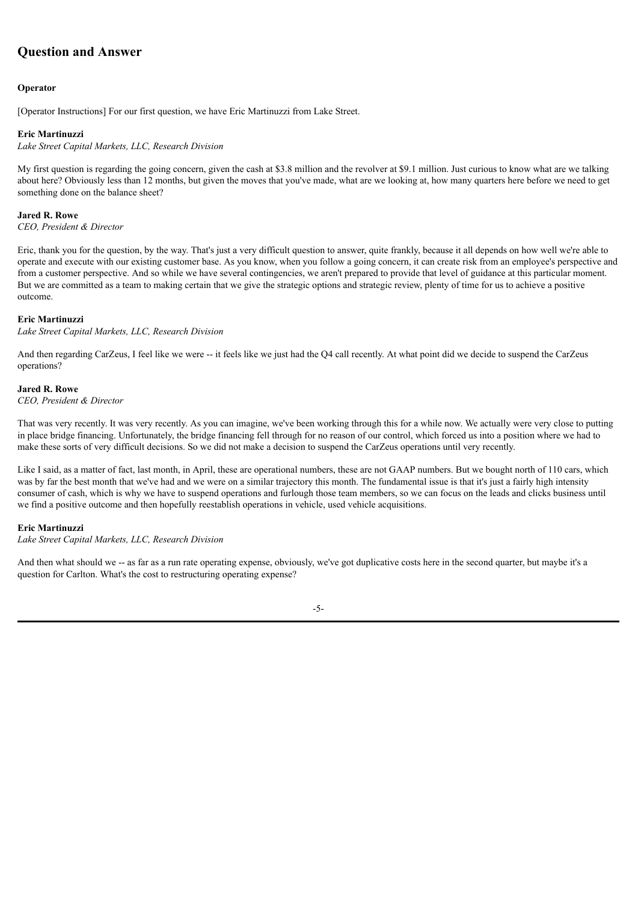# **Question and Answer**

# **Operator**

[Operator Instructions] For our first question, we have Eric Martinuzzi from Lake Street.

## **Eric Martinuzzi**

*Lake Street Capital Markets, LLC, Research Division*

My first question is regarding the going concern, given the cash at \$3.8 million and the revolver at \$9.1 million. Just curious to know what are we talking about here? Obviously less than 12 months, but given the moves that you've made, what are we looking at, how many quarters here before we need to get something done on the balance sheet?

## **Jared R. Rowe**

*CEO, President & Director*

Eric, thank you for the question, by the way. That's just a very difficult question to answer, quite frankly, because it all depends on how well we're able to operate and execute with our existing customer base. As you know, when you follow a going concern, it can create risk from an employee's perspective and from a customer perspective. And so while we have several contingencies, we aren't prepared to provide that level of guidance at this particular moment. But we are committed as a team to making certain that we give the strategic options and strategic review, plenty of time for us to achieve a positive outcome.

## **Eric Martinuzzi**

*Lake Street Capital Markets, LLC, Research Division*

And then regarding CarZeus, I feel like we were -- it feels like we just had the Q4 call recently. At what point did we decide to suspend the CarZeus operations?

## **Jared R. Rowe**

*CEO, President & Director*

That was very recently. It was very recently. As you can imagine, we've been working through this for a while now. We actually were very close to putting in place bridge financing. Unfortunately, the bridge financing fell through for no reason of our control, which forced us into a position where we had to make these sorts of very difficult decisions. So we did not make a decision to suspend the CarZeus operations until very recently.

Like I said, as a matter of fact, last month, in April, these are operational numbers, these are not GAAP numbers. But we bought north of 110 cars, which was by far the best month that we've had and we were on a similar trajectory this month. The fundamental issue is that it's just a fairly high intensity consumer of cash, which is why we have to suspend operations and furlough those team members, so we can focus on the leads and clicks business until we find a positive outcome and then hopefully reestablish operations in vehicle, used vehicle acquisitions.

#### **Eric Martinuzzi**

*Lake Street Capital Markets, LLC, Research Division*

And then what should we -- as far as a run rate operating expense, obviously, we've got duplicative costs here in the second quarter, but maybe it's a question for Carlton. What's the cost to restructuring operating expense?

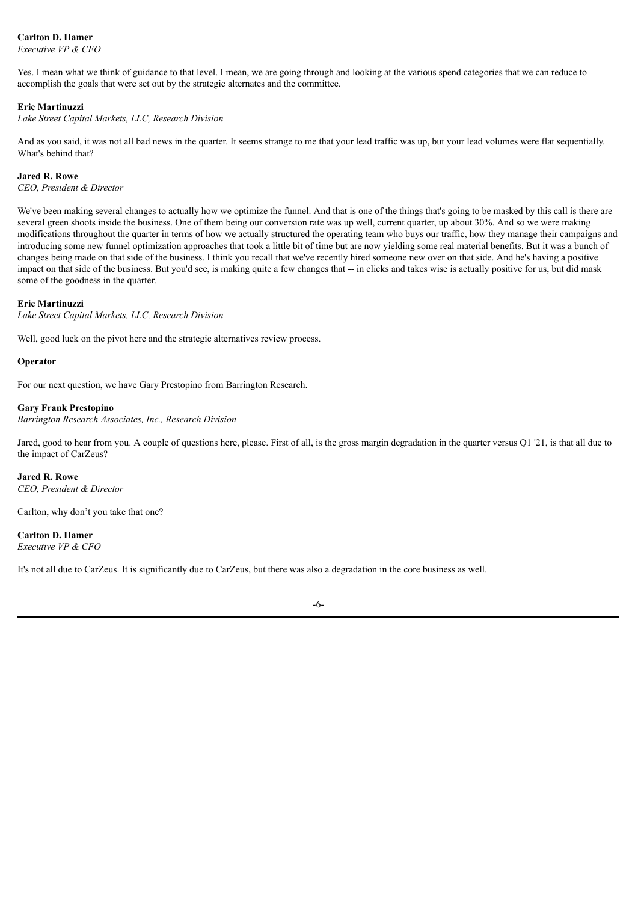#### **Carlton D. Hamer** *Executive VP & CFO*

Yes. I mean what we think of guidance to that level. I mean, we are going through and looking at the various spend categories that we can reduce to accomplish the goals that were set out by the strategic alternates and the committee.

## **Eric Martinuzzi**

*Lake Street Capital Markets, LLC, Research Division*

And as you said, it was not all bad news in the quarter. It seems strange to me that your lead traffic was up, but your lead volumes were flat sequentially. What's behind that?

#### **Jared R. Rowe**

*CEO, President & Director*

We've been making several changes to actually how we optimize the funnel. And that is one of the things that's going to be masked by this call is there are several green shoots inside the business. One of them being our conversion rate was up well, current quarter, up about 30%. And so we were making modifications throughout the quarter in terms of how we actually structured the operating team who buys our traffic, how they manage their campaigns and introducing some new funnel optimization approaches that took a little bit of time but are now yielding some real material benefits. But it was a bunch of changes being made on that side of the business. I think you recall that we've recently hired someone new over on that side. And he's having a positive impact on that side of the business. But you'd see, is making quite a few changes that -- in clicks and takes wise is actually positive for us, but did mask some of the goodness in the quarter.

#### **Eric Martinuzzi**

*Lake Street Capital Markets, LLC, Research Division*

Well, good luck on the pivot here and the strategic alternatives review process.

#### **Operator**

For our next question, we have Gary Prestopino from Barrington Research.

#### **Gary Frank Prestopino**

*Barrington Research Associates, Inc., Research Division*

Jared, good to hear from you. A couple of questions here, please. First of all, is the gross margin degradation in the quarter versus Q1 '21, is that all due to the impact of CarZeus?

# **Jared R. Rowe**

*CEO, President & Director*

Carlton, why don't you take that one?

#### **Carlton D. Hamer**

*Executive VP & CFO*

It's not all due to CarZeus. It is significantly due to CarZeus, but there was also a degradation in the core business as well.

-6-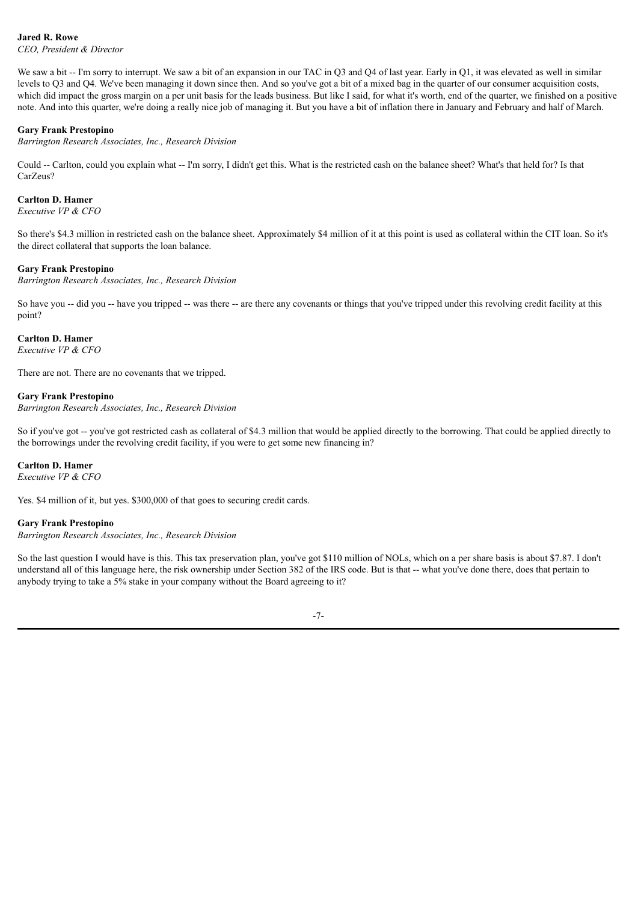**Jared R. Rowe** *CEO, President & Director*

We saw a bit -- I'm sorry to interrupt. We saw a bit of an expansion in our TAC in O3 and O4 of last year. Early in O1, it was elevated as well in similar levels to Q3 and Q4. We've been managing it down since then. And so you've got a bit of a mixed bag in the quarter of our consumer acquisition costs, which did impact the gross margin on a per unit basis for the leads business. But like I said, for what it's worth, end of the quarter, we finished on a positive note. And into this quarter, we're doing a really nice job of managing it. But you have a bit of inflation there in January and February and half of March.

## **Gary Frank Prestopino**

*Barrington Research Associates, Inc., Research Division*

Could -- Carlton, could you explain what -- I'm sorry, I didn't get this. What is the restricted cash on the balance sheet? What's that held for? Is that CarZeus?

#### **Carlton D. Hamer**

*Executive VP & CFO*

So there's \$4.3 million in restricted cash on the balance sheet. Approximately \$4 million of it at this point is used as collateral within the CIT loan. So it's the direct collateral that supports the loan balance.

#### **Gary Frank Prestopino**

*Barrington Research Associates, Inc., Research Division*

So have you -- did you -- have you tripped -- was there -- are there any covenants or things that you've tripped under this revolving credit facility at this point?

# **Carlton D. Hamer**

*Executive VP & CFO*

There are not. There are no covenants that we tripped.

#### **Gary Frank Prestopino**

*Barrington Research Associates, Inc., Research Division*

So if you've got -- you've got restricted cash as collateral of \$4.3 million that would be applied directly to the borrowing. That could be applied directly to the borrowings under the revolving credit facility, if you were to get some new financing in?

#### **Carlton D. Hamer**

*Executive VP & CFO*

Yes. \$4 million of it, but yes. \$300,000 of that goes to securing credit cards.

#### **Gary Frank Prestopino**

*Barrington Research Associates, Inc., Research Division*

So the last question I would have is this. This tax preservation plan, you've got \$110 million of NOLs, which on a per share basis is about \$7.87. I don't understand all of this language here, the risk ownership under Section 382 of the IRS code. But is that -- what you've done there, does that pertain to anybody trying to take a 5% stake in your company without the Board agreeing to it?

-7-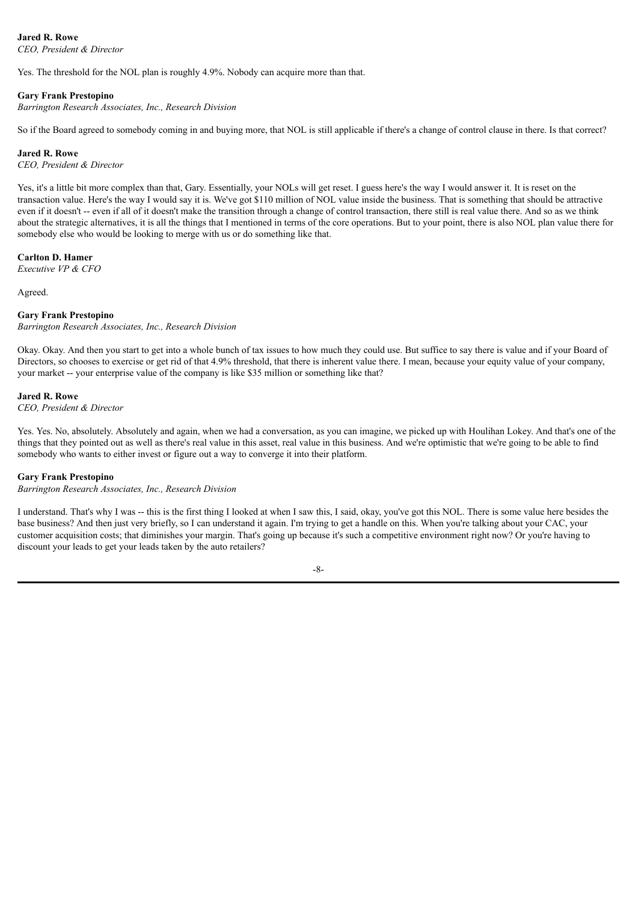# **Jared R. Rowe**

*CEO, President & Director*

Yes. The threshold for the NOL plan is roughly 4.9%. Nobody can acquire more than that.

#### **Gary Frank Prestopino**

*Barrington Research Associates, Inc., Research Division*

So if the Board agreed to somebody coming in and buying more, that NOL is still applicable if there's a change of control clause in there. Is that correct?

#### **Jared R. Rowe**

*CEO, President & Director*

Yes, it's a little bit more complex than that, Gary. Essentially, your NOLs will get reset. I guess here's the way I would answer it. It is reset on the transaction value. Here's the way I would say it is. We've got \$110 million of NOL value inside the business. That is something that should be attractive even if it doesn't -- even if all of it doesn't make the transition through a change of control transaction, there still is real value there. And so as we think about the strategic alternatives, it is all the things that I mentioned in terms of the core operations. But to your point, there is also NOL plan value there for somebody else who would be looking to merge with us or do something like that.

#### **Carlton D. Hamer**

*Executive VP & CFO*

Agreed.

#### **Gary Frank Prestopino**

*Barrington Research Associates, Inc., Research Division*

Okay. Okay. And then you start to get into a whole bunch of tax issues to how much they could use. But suffice to say there is value and if your Board of Directors, so chooses to exercise or get rid of that 4.9% threshold, that there is inherent value there. I mean, because your equity value of your company, your market -- your enterprise value of the company is like \$35 million or something like that?

#### **Jared R. Rowe**

*CEO, President & Director*

Yes. Yes. No, absolutely. Absolutely and again, when we had a conversation, as you can imagine, we picked up with Houlihan Lokey. And that's one of the things that they pointed out as well as there's real value in this asset, real value in this business. And we're optimistic that we're going to be able to find somebody who wants to either invest or figure out a way to converge it into their platform.

#### **Gary Frank Prestopino**

*Barrington Research Associates, Inc., Research Division*

I understand. That's why I was -- this is the first thing I looked at when I saw this, I said, okay, you've got this NOL. There is some value here besides the base business? And then just very briefly, so I can understand it again. I'm trying to get a handle on this. When you're talking about your CAC, your customer acquisition costs; that diminishes your margin. That's going up because it's such a competitive environment right now? Or you're having to discount your leads to get your leads taken by the auto retailers?

 $-8$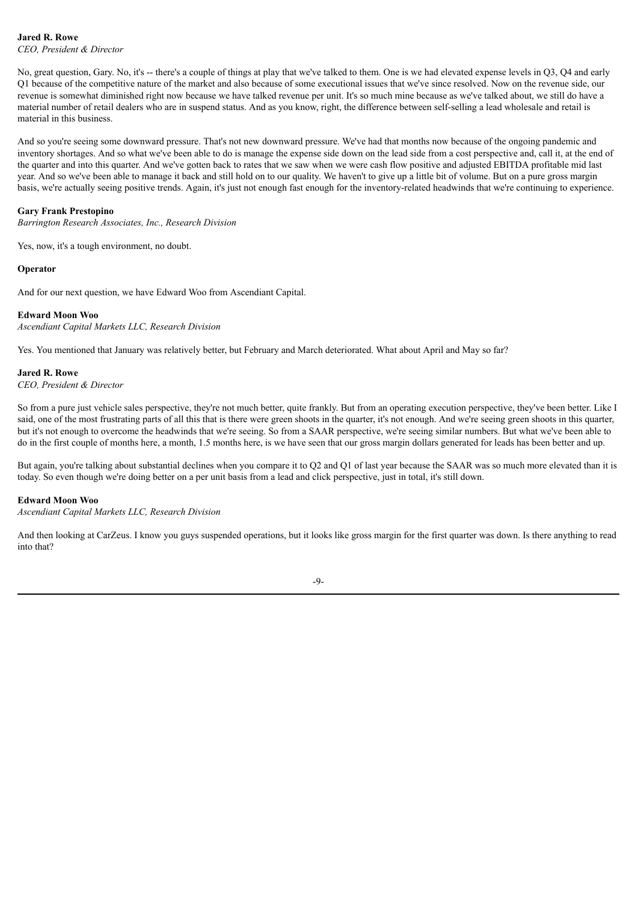## **Jared R. Rowe** *CEO, President & Director*

No, great question, Gary. No, it's -- there's a couple of things at play that we've talked to them. One is we had elevated expense levels in O3, O4 and early Q1 because of the competitive nature of the market and also because of some executional issues that we've since resolved. Now on the revenue side, our revenue is somewhat diminished right now because we have talked revenue per unit. It's so much mine because as we've talked about, we still do have a material number of retail dealers who are in suspend status. And as you know, right, the difference between self-selling a lead wholesale and retail is material in this business.

And so you're seeing some downward pressure. That's not new downward pressure. We've had that months now because of the ongoing pandemic and inventory shortages. And so what we've been able to do is manage the expense side down on the lead side from a cost perspective and, call it, at the end of the quarter and into this quarter. And we've gotten back to rates that we saw when we were cash flow positive and adjusted EBITDA profitable mid last year. And so we've been able to manage it back and still hold on to our quality. We haven't to give up a little bit of volume. But on a pure gross margin basis, we're actually seeing positive trends. Again, it's just not enough fast enough for the inventory-related headwinds that we're continuing to experience.

## **Gary Frank Prestopino**

*Barrington Research Associates, Inc., Research Division*

Yes, now, it's a tough environment, no doubt.

#### **Operator**

And for our next question, we have Edward Woo from Ascendiant Capital.

#### **Edward Moon Woo**

*Ascendiant Capital Markets LLC, Research Division*

Yes. You mentioned that January was relatively better, but February and March deteriorated. What about April and May so far?

#### **Jared R. Rowe**

*CEO, President & Director*

So from a pure just vehicle sales perspective, they're not much better, quite frankly. But from an operating execution perspective, they've been better. Like I said, one of the most frustrating parts of all this that is there were green shoots in the quarter, it's not enough. And we're seeing green shoots in this quarter, but it's not enough to overcome the headwinds that we're seeing. So from a SAAR perspective, we're seeing similar numbers. But what we've been able to do in the first couple of months here, a month, 1.5 months here, is we have seen that our gross margin dollars generated for leads has been better and up.

But again, you're talking about substantial declines when you compare it to Q2 and Q1 of last year because the SAAR was so much more elevated than it is today. So even though we're doing better on a per unit basis from a lead and click perspective, just in total, it's still down.

#### **Edward Moon Woo**

*Ascendiant Capital Markets LLC, Research Division*

And then looking at CarZeus. I know you guys suspended operations, but it looks like gross margin for the first quarter was down. Is there anything to read into that?